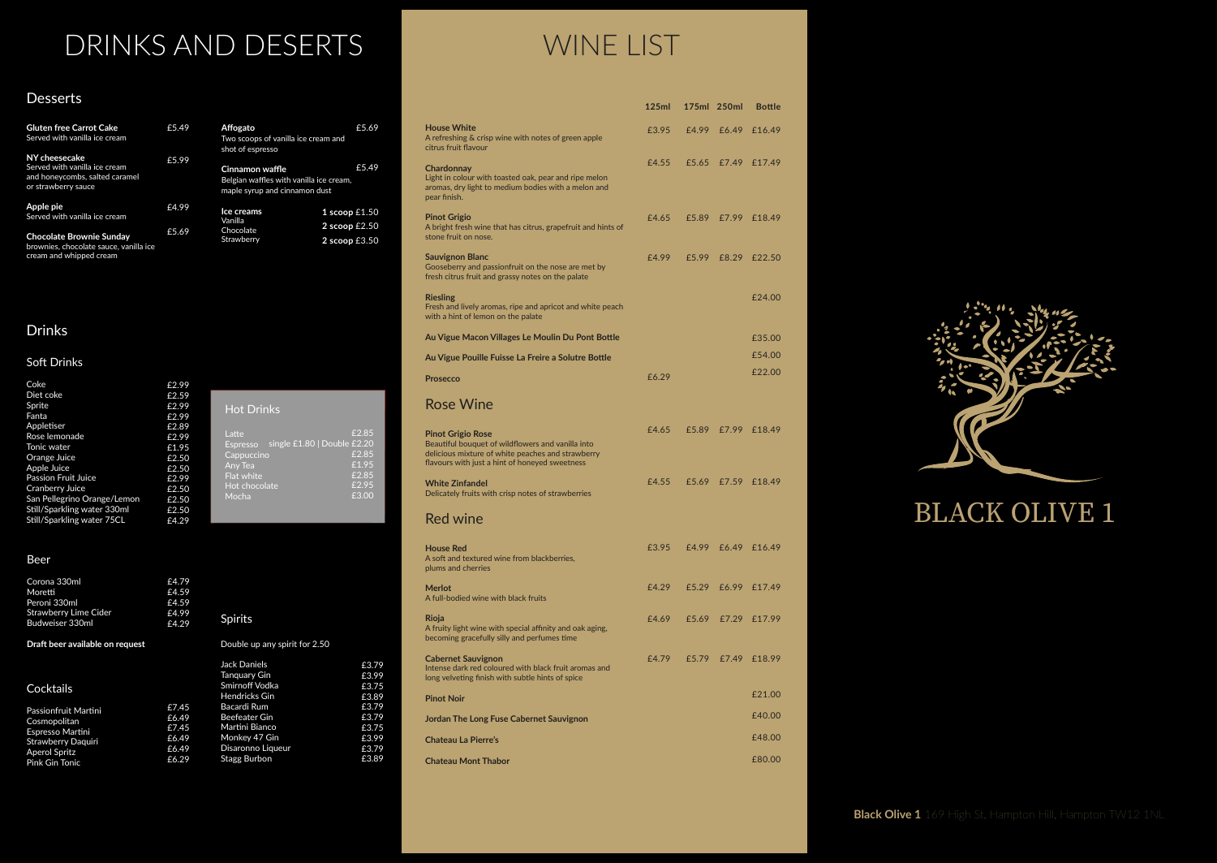### Drinks

### Soft Drinks

## DRINKS AND DESERTS WINE LIST

### Desserts

| <b>Gluten free Carrot Cake</b><br>Served with vanilla ice cream                                         | £5.49 | Affogato<br>Two scoops of vanilla ice cream and<br>shot of espresso                         | £5.69                              |
|---------------------------------------------------------------------------------------------------------|-------|---------------------------------------------------------------------------------------------|------------------------------------|
| NY cheesecake<br>Served with vanilla ice cream<br>and honeycombs, salted caramel<br>or strawberry sauce | £5.99 | Cinnamon waffle<br>Belgian waffles with vanilla ice cream,<br>maple syrup and cinnamon dust | £5.49                              |
| Apple pie<br>Served with vanilla ice cream                                                              | £4.99 | Ice creams<br>Vanilla                                                                       | 1 scoop $£1.50$                    |
| <b>Chocolate Brownie Sunday</b><br>brownies, chocolate sauce, vanilla ice<br>cream and whipped cream    | £5.69 | Chocolate<br>Strawberry                                                                     | 2 scoop $£2.50$<br>2 scoop $£3.50$ |

| Coke                        | £2.99 |                                                |
|-----------------------------|-------|------------------------------------------------|
| Diet coke                   | £2.59 |                                                |
| Sprite                      | £2.99 | <b>Hot Drinks</b>                              |
| Fanta                       | £2.99 |                                                |
| Appletiser                  | £2.89 |                                                |
| Rose lemonade               | £2.99 | £2.85<br>Latte                                 |
| Tonic water                 | £1.95 | single £1.80   Double £2.20<br><b>Espresso</b> |
| Orange Juice                | £2.50 | £2.85<br>Cappuccino                            |
| Apple Juice                 | £2.50 | £1.95<br>Any Tea                               |
| <b>Passion Fruit Juice</b>  | £2.99 | £2.85<br>Flat white                            |
| Cranberry Juice             | £2.50 | £2.95<br>Hot chocolate                         |
| San Pellegrino Orange/Lemon | £2.50 | £3.00<br>Mocha                                 |
| Still/Sparkling water 330ml | £2.50 |                                                |
| Still/Sparkling water 75CL  | £4.29 |                                                |

|                                                                                                                                                                                      | 125ml |       | 175ml 250ml | <b>Bottle</b>      |
|--------------------------------------------------------------------------------------------------------------------------------------------------------------------------------------|-------|-------|-------------|--------------------|
| <b>House White</b><br>A refreshing & crisp wine with notes of green apple<br>citrus fruit flavour                                                                                    | £3.95 | £4.99 | £6.49       | £16.49             |
| Chardonnay<br>Light in colour with toasted oak, pear and ripe melon<br>aromas, dry light to medium bodies with a melon and<br>pear finish.                                           | £4.55 |       |             | £5.65 £7.49 £17.49 |
| <b>Pinot Grigio</b><br>A bright fresh wine that has citrus, grapefruit and hints of<br>stone fruit on nose.                                                                          | £4.65 | £5.89 | £7.99       | £18.49             |
| <b>Sauvignon Blanc</b><br>Gooseberry and passionfruit on the nose are met by<br>fresh citrus fruit and grassy notes on the palate                                                    | £4.99 | £5.99 | £8.29       | £22.50             |
| <b>Riesling</b><br>Fresh and lively aromas, ripe and apricot and white peach<br>with a hint of lemon on the palate                                                                   |       |       |             | £24.00             |
| Au Vigue Macon Villages Le Moulin Du Pont Bottle                                                                                                                                     |       |       |             | £35.00             |
| Au Vigue Pouille Fuisse La Freire a Solutre Bottle                                                                                                                                   |       |       |             | £54.00             |
| <b>Prosecco</b>                                                                                                                                                                      | £6.29 |       |             | £22.00             |
| <b>Rose Wine</b>                                                                                                                                                                     |       |       |             |                    |
| <b>Pinot Grigio Rose</b><br>Beautiful bouquet of wildflowers and vanilla into<br>delicious mixture of white peaches and strawberry<br>flavours with just a hint of honeyed sweetness | £4.65 |       |             | £5.89 £7.99 £18.49 |
| <b>White Zinfandel</b><br>Delicately fruits with crisp notes of strawberries                                                                                                         | £4.55 | £5.69 | £7.59       | £18.49             |
| <b>Red wine</b>                                                                                                                                                                      |       |       |             |                    |
| <b>House Red</b><br>A soft and textured wine from blackberries,<br>plums and cherries                                                                                                | £3.95 |       |             | £4.99 £6.49 £16.49 |
| <b>Merlot</b><br>A full-bodied wine with black fruits                                                                                                                                | £4.29 |       |             | £5.29 £6.99 £17.49 |
| Rioja<br>A fruity light wine with special affinity and oak aging,<br>becoming gracefully silly and perfumes time                                                                     | £4.69 |       |             | £5.69 £7.29 £17.99 |
| <b>Cabernet Sauvignon</b><br>Intense dark red coloured with black fruit aromas and<br>long velveting finish with subtle hints of spice                                               | £4.79 | £5.79 | £7.49       | £18.99             |
| <b>Pinot Noir</b>                                                                                                                                                                    |       |       |             | £21.00             |
| Jordan The Long Fuse Cabernet Sauvignon                                                                                                                                              |       |       |             | £40.00             |
| <b>Chateau La Pierre's</b>                                                                                                                                                           |       |       |             | £48.00             |
| <b>Chateau Mont Thabor</b>                                                                                                                                                           |       |       |             | £80.00             |



### **BLACK OLIVE 1**

#### Beer

| Corona 330ml<br>Moretti<br>Peroni 330ml<br><b>Strawberry Lime Cider</b><br>Budweiser 330ml | £4.79<br>£4.59<br>£4.59<br>£4.99<br>£4.29 | <b>Spirits</b>                |       |
|--------------------------------------------------------------------------------------------|-------------------------------------------|-------------------------------|-------|
| Draft beer available on request                                                            |                                           | Double up any spirit for 2.50 |       |
|                                                                                            |                                           | <b>Jack Daniels</b>           | £3.79 |
|                                                                                            |                                           | Tanguary Gin                  | £3.99 |
| Cocktails                                                                                  |                                           | Smirnoff Vodka                | £3.75 |
|                                                                                            |                                           | <b>Hendricks Gin</b>          | £3.89 |
| Passionfruit Martini                                                                       | £7.45                                     | Bacardi Rum                   | £3.79 |
| Cosmopolitan                                                                               | £6.49                                     | Beefeater Gin                 | £3.79 |
| Espresso Martini                                                                           | £7.45                                     | Martini Bianco                | £3.75 |
| <b>Strawberry Daguiri</b>                                                                  | £6.49                                     | Monkey 47 Gin                 | £3.99 |
| <b>Aperol Spritz</b>                                                                       | £6.49                                     | Disaronno Liqueur             | £3.79 |
| <b>Pink Gin Tonic</b>                                                                      | £6.29                                     | Stagg Burbon                  | £3.89 |

**Black Olive 1** 169 High St, Hampton Hill, Hampton TW12 1NL